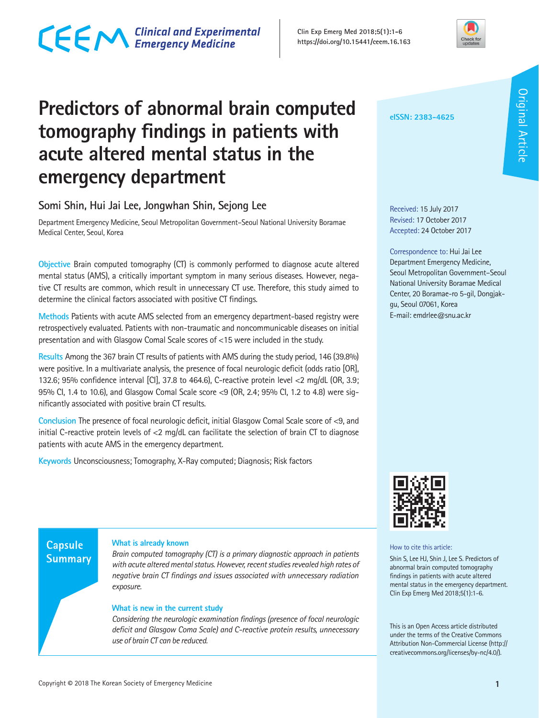### **Predictors of abnormal brain computed tomography findings in patients with acute altered mental status in the emergency department**

#### **Somi Shin, Hui Jai Lee, Jongwhan Shin, Sejong Lee**

Department Emergency Medicine, Seoul Metropolitan Government–Seoul National University Boramae Medical Center, Seoul, Korea

**Objective** Brain computed tomography (CT) is commonly performed to diagnose acute altered mental status (AMS), a critically important symptom in many serious diseases. However, negative CT results are common, which result in unnecessary CT use. Therefore, this study aimed to determine the clinical factors associated with positive CT findings.

**Methods** Patients with acute AMS selected from an emergency department-based registry were retrospectively evaluated. Patients with non-traumatic and noncommunicable diseases on initial presentation and with Glasgow Comal Scale scores of <15 were included in the study.

**Results** Among the 367 brain CT results of patients with AMS during the study period, 146 (39.8%) were positive. In a multivariate analysis, the presence of focal neurologic deficit (odds ratio [OR], 132.6; 95% confidence interval [CI], 37.8 to 464.6), C-reactive protein level <2 mg/dL (OR, 3.9; 95% CI, 1.4 to 10.6), and Glasgow Comal Scale score <9 (OR, 2.4; 95% CI, 1.2 to 4.8) were significantly associated with positive brain CT results.

**Conclusion** The presence of focal neurologic deficit, initial Glasgow Comal Scale score of <9, and initial C-reactive protein levels of <2 mg/dL can facilitate the selection of brain CT to diagnose patients with acute AMS in the emergency department.

**Keywords** Unconsciousness; Tomography, X-Ray computed; Diagnosis; Risk factors

#### **Capsule Summary**

#### **What is already known**

*Brain computed tomography (CT) is a primary diagnostic approach in patients with acute altered mental status. However, recent studies revealed high rates of negative brain CT findings and issues associated with unnecessary radiation exposure.* 

#### **What is new in the current study**

*Considering the neurologic examination findings (presence of focal neurologic deficit and Glasgow Coma Scale) and C-reactive protein results, unnecessary use of brain CT can be reduced.*



**eISSN: 2383-4625**

Correspondence to: Hui Jai Lee Department Emergency Medicine, Seoul Metropolitan Government–Seoul National University Boramae Medical Center, 20 Boramae-ro 5-gil, Dongjakgu, Seoul 07061, Korea E-mail: emdrlee@snu.ac.kr



How to cite this article:

Shin S, Lee HJ, Shin J, Lee S. Predictors of abnormal brain computed tomography findings in patients with acute altered mental status in the emergency department. Clin Exp Emerg Med 2018;5(1):1-6.

This is an Open Access article distributed under the terms of the Creative Commons Attribution Non-Commercial License (http:// creativecommons.org/licenses/by-nc/4.0/).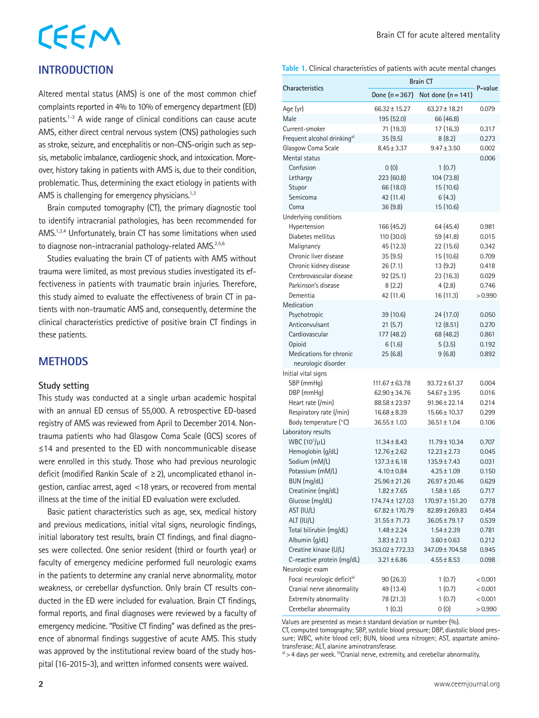# CEEM

#### **INTRODUCTION**

Altered mental status (AMS) is one of the most common chief complaints reported in 4% to 10% of emergency department (ED) patients.1-3 A wide range of clinical conditions can cause acute AMS, either direct central nervous system (CNS) pathologies such as stroke, seizure, and encephalitis or non-CNS-origin such as sepsis, metabolic imbalance, cardiogenic shock, and intoxication. Moreover, history taking in patients with AMS is, due to their condition, problematic. Thus, determining the exact etiology in patients with AMS is challenging for emergency physicians. $1,3$ 

Brain computed tomography (CT), the primary diagnostic tool to identify intracranial pathologies, has been recommended for AMS.<sup>1,3,4</sup> Unfortunately, brain CT has some limitations when used to diagnose non-intracranial pathology-related AMS.<sup>2,5,6</sup>

Studies evaluating the brain CT of patients with AMS without trauma were limited, as most previous studies investigated its effectiveness in patients with traumatic brain injuries. Therefore, this study aimed to evaluate the effectiveness of brain CT in patients with non-traumatic AMS and, consequently, determine the clinical characteristics predictive of positive brain CT findings in these patients.

#### **METHODS**

#### **Study setting**

This study was conducted at a single urban academic hospital with an annual ED census of 55,000. A retrospective ED-based registry of AMS was reviewed from April to December 2014. Nontrauma patients who had Glasgow Coma Scale (GCS) scores of ≤14 and presented to the ED with noncommunicable disease were enrolled in this study. Those who had previous neurologic deficit (modified Rankin Scale of ≥2), uncomplicated ethanol ingestion, cardiac arrest, aged <18 years, or recovered from mental illness at the time of the initial ED evaluation were excluded.

Basic patient characteristics such as age, sex, medical history and previous medications, initial vital signs, neurologic findings, initial laboratory test results, brain CT findings, and final diagnoses were collected. One senior resident (third or fourth year) or faculty of emergency medicine performed full neurologic exams in the patients to determine any cranial nerve abnormality, motor weakness, or cerebellar dysfunction. Only brain CT results conducted in the ED were included for evaluation. Brain CT findings, formal reports, and final diagnoses were reviewed by a faculty of emergency medicine. "Positive CT finding" was defined as the presence of abnormal findings suggestive of acute AMS. This study was approved by the institutional review board of the study hospital (16-2015-3), and written informed consents were waived.

#### **Table 1.** Clinical characteristics of patients with acute mental changes

|                                                 |                                    | <b>Brain CT</b>                    |                |
|-------------------------------------------------|------------------------------------|------------------------------------|----------------|
| Characteristics                                 | Done $(n = 367)$                   | Not done $(n=141)$                 | P-value        |
| Age (yr)                                        | $66.32 \pm 15.27$                  | $63.27 \pm 18.21$                  | 0.079          |
| Male                                            | 195 (52.0)                         | 66 (46.8)                          |                |
| Current-smoker                                  | 71 (19.3)                          | 17 (16.3)                          | 0.317          |
| Frequent alcohol drinking <sup>a)</sup>         | 35 (9.5)                           | 8(8.2)                             | 0.273          |
| Glasgow Coma Scale                              | $8.45 \pm 3.37$                    | $9.47 \pm 3.50$                    | 0.002          |
| Mental status                                   |                                    |                                    | 0.006          |
| Confusion                                       | 0(0)                               | 1(0.7)                             |                |
| Lethargy                                        | 223 (60.8)                         | 104 (73.8)                         |                |
| Stupor                                          | 66 (18.0)                          | 15 (10.6)                          |                |
| Semicoma                                        | 42 (11.4)                          | 6(4.3)                             |                |
| Coma                                            | 36 (9.8)                           | 15 (10.6)                          |                |
| Underlying conditions                           |                                    |                                    |                |
| Hypertension                                    | 166 (45.2)                         | 64 (45.4)                          | 0.981          |
| Diabetes mellitus                               | 110 (30.0)                         | 59 (41.8)                          | 0.015          |
| Malignancy                                      | 45 (12.3)                          | 22 (15.6)                          | 0.342          |
| Chronic liver disease<br>Chronic kidney disease | 35(9.5)<br>26(7.1)                 | 15 (10.6)<br>13(9.2)               | 0.709<br>0.418 |
| Cerebrovascular disease                         | 92(25.1)                           | 23 (16.3)                          | 0.029          |
| Parkinson's disease                             | 8(2.2)                             | 4(2.8)                             | 0.746          |
| Dementia                                        | 42 (11.4)                          | 16 (11.3)                          | >0.990         |
| Medication                                      |                                    |                                    |                |
| Psychotropic                                    | 39 (10.6)                          | 24 (17.0)                          | 0.050          |
| Anticonvulsant                                  | 21(5.7)                            | 12 (8.51)                          | 0.270          |
| Cardiovascular                                  | 177 (48.2)                         | 68 (48.2)                          | 0.861          |
| Opioid                                          | 6(1.6)                             | 5(3.5)                             | 0.192          |
| Medications for chronic                         | 25(6.8)                            | 9(6.8)                             | 0.892          |
| neurologic disorder                             |                                    |                                    |                |
| Initial vital signs                             |                                    |                                    |                |
| SBP (mmHg)                                      | $111.67 \pm 63.78$                 | $93.72 \pm 61.37$                  | 0.004          |
| DBP (mmHq)                                      | 62.90 ± 34.76                      | $54.67 \pm 3.95$                   | 0.016          |
| Heart rate (/min)                               | $88.58 \pm 23.97$                  | $91.96 \pm 22.14$                  | 0.214          |
| Respiratory rate (/min)                         | $16.68 \pm 8.39$                   | 15.66 ± 10.37                      | 0.299          |
| Body temperature (°C)                           | $36.55 \pm 1.03$                   | $36.51 \pm 1.04$                   | 0.106          |
| Laboratory results                              |                                    |                                    |                |
| WBC $(10^3/\mu L)$                              | $11.34 \pm 8.43$                   | $11.79 \pm 10.34$                  | 0.707          |
| Hemoglobin (g/dL)                               | $12.76 \pm 2.62$                   | $12.23 \pm 2.73$                   | 0.045          |
| Sodium (mM/L)                                   | $137.3 \pm 6.18$                   | $135.9 \pm 7.43$                   | 0.031          |
| Potassium (mM/L)                                | $4.10 \pm 0.84$                    | $4.25 \pm 1.09$                    | 0.150          |
| BUN (mg/dL)                                     | 25.96 ± 21.26                      | $26.97 \pm 20.46$                  | 0.629          |
| Creatinine (mg/dL)<br>Glucose (mg/dL)           | $1.82 \pm 7.65$<br>174.74 ± 127.03 | $1.58 \pm 1.65$<br>170.97 ± 151.20 | 0.717          |
| AST (IU/L)                                      | 67.82±170.79                       | $82.89 \pm 269.83$                 | 0.778<br>0.454 |
| ALT (IU/L)                                      | 31.55±71.73                        | $36.05 \pm 79.17$                  | 0.539          |
| Total bilirubin (mg/dL)                         | $1.48 \pm 2.24$                    | $1.54 \pm 2.39$                    | 0.781          |
| Albumin (g/dL)                                  | $3.83 \pm 2.13$                    | $3.60 \pm 0.63$                    | 0.212          |
| Creatine kinase (U/L)                           | 353.02 ± 772.33                    | 347.09 ± 704.58                    | 0.945          |
| C-reactive protein (mg/dL)                      | $3.21 \pm 6.86$                    | $4.55 \pm 8.53$                    | 0.098          |
| Neurologic exam                                 |                                    |                                    |                |
| Focal neurologic deficit <sup>b)</sup>          | 90(26.3)                           | 1(0.7)                             | < 0.001        |
| Cranial nerve abnormality                       | 49 (13.4)                          | 1(0.7)                             | < 0.001        |
| Extremity abnormality                           | 78 (21.3)                          | 1(0.7)                             | < 0.001        |
| Cerebellar abnormality                          | 1(0.3)                             | 0(0)                               | >0.990         |

Values are presented as mean  $\pm$  standard deviation or number (%).

CT, computed tomography; SBP, systolic blood pressure; DBP, diastolic blood pressure; WBC, white blood cell; BUN, blood urea nitrogen; AST, aspartate aminotransferase; ALT, alanine aminotransferase.

 $a$ ) > 4 days per week.  $b$ Cranial nerve, extremity, and cerebellar abnormality.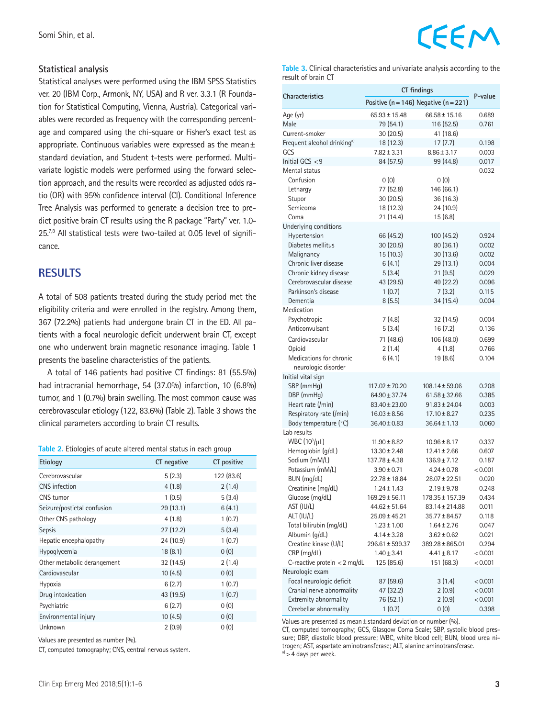#### **Statistical analysis**

Statistical analyses were performed using the IBM SPSS Statistics ver. 20 (IBM Corp., Armonk, NY, USA) and R ver. 3.3.1 (R Foundation for Statistical Computing, Vienna, Austria). Categorical variables were recorded as frequency with the corresponding percentage and compared using the chi-square or Fisher's exact test as appropriate. Continuous variables were expressed as the mean± standard deviation, and Student t-tests were performed. Multivariate logistic models were performed using the forward selection approach, and the results were recorded as adjusted odds ratio (OR) with 95% confidence interval (CI). Conditional Inference Tree Analysis was performed to generate a decision tree to predict positive brain CT results using the R package "Party" ver. 1.0- 25.<sup>7,8</sup> All statistical tests were two-tailed at 0.05 level of significance.

#### **RESULTS**

A total of 508 patients treated during the study period met the eligibility criteria and were enrolled in the registry. Among them, 367 (72.2%) patients had undergone brain CT in the ED. All patients with a focal neurologic deficit underwent brain CT, except one who underwent brain magnetic resonance imaging. Table 1 presents the baseline characteristics of the patients.

A total of 146 patients had positive CT findings: 81 (55.5%) had intracranial hemorrhage, 54 (37.0%) infarction, 10 (6.8%) tumor, and 1 (0.7%) brain swelling. The most common cause was cerebrovascular etiology (122, 83.6%) (Table 2). Table 3 shows the clinical parameters according to brain CT results.

| Etiology                    | CT negative | CT positive |
|-----------------------------|-------------|-------------|
| Cerebrovascular             | 5(2.3)      | 122 (83.6)  |
| CNS infection               | 4(1.8)      | 2(1.4)      |
| CNS tumor                   | 1(0.5)      | 5(3.4)      |
| Seizure/postictal confusion | 29(13.1)    | 6(4.1)      |
| Other CNS pathology         | 4(1.8)      | 1(0.7)      |
| <b>Sepsis</b>               | 27(12.2)    | 5(3.4)      |
| Hepatic encephalopathy      | 24 (10.9)   | 1(0.7)      |
| Hypoglycemia                | 18(8.1)     | 0(0)        |
| Other metabolic derangement | 32(14.5)    | 2(1.4)      |
| Cardiovascular              | 10(4.5)     | 0(0)        |
| Hypoxia                     | 6(2.7)      | 1(0.7)      |
| Drug intoxication           | 43 (19.5)   | 1(0.7)      |
| Psychiatric                 | 6(2.7)      | 0(0)        |
| Environmental injury        | 10(4.5)     | 0(0)        |
| Unknown                     | 2(0.9)      | 0(0)        |

Values are presented as number (%).

CT, computed tomography; CNS, central nervous system.



**Table 3.** Clinical characteristics and univariate analysis according to the result of brain CT

|                                         | CT findings                                   |                     |         |
|-----------------------------------------|-----------------------------------------------|---------------------|---------|
| <b>Characteristics</b>                  | Positive ( $n = 146$ ) Negative ( $n = 221$ ) | P-value             |         |
| Age (yr)                                | $65.93 \pm 15.48$                             | $66.58 \pm 15.16$   | 0.689   |
| Male                                    | 79 (54.1)                                     | 116 (52.5)          | 0.761   |
| Current-smoker                          | 30 (20.5)                                     | 41 (18.6)           |         |
| Frequent alcohol drinking <sup>a)</sup> | 18 (12.3)                                     | 17(7.7)             | 0.198   |
| GCS                                     | $7.82 \pm 3.31$                               | $8.86 \pm 3.17$     | 0.003   |
| Initial GCS $<$ 9                       | 84 (57.5)                                     | 99 (44.8)           | 0.017   |
| Mental status                           |                                               |                     | 0.032   |
| Confusion                               | 0(0)                                          | 0(0)                |         |
| Lethargy                                | 77 (52.8)                                     | 146 (66.1)          |         |
| Stupor                                  | 30 (20.5)                                     | 36 (16.3)           |         |
| Semicoma                                | 18 (12.3)                                     | 24 (10.9)           |         |
| Coma                                    | 21 (14.4)                                     | 15(6.8)             |         |
| Underlying conditions                   |                                               |                     |         |
| Hypertension                            | 66 (45.2)                                     | 100 (45.2)          | 0.924   |
| Diabetes mellitus                       | 30 (20.5)                                     | 80 (36.1)           | 0.002   |
| Malignancy                              | 15 (10.3)                                     | 30 (13.6)           | 0.002   |
| Chronic liver disease                   | 6(4.1)                                        | 29 (13.1)           | 0.004   |
| Chronic kidney disease                  | 5(3.4)                                        | 21(9.5)             | 0.029   |
| Cerebrovascular disease                 | 43 (29.5)                                     | 49 (22.2)           | 0.096   |
| Parkinson's disease                     | 1(0.7)                                        | 7(3.2)              | 0.115   |
| Dementia                                | 8(5.5)                                        | 34 (15.4)           | 0.004   |
| Medication                              |                                               |                     |         |
| Psychotropic                            | 7(4.8)                                        | 32 (14.5)           | 0.004   |
| Anticonvulsant                          | 5(3.4)                                        | 16(7.2)             | 0.136   |
| Cardiovascular                          | 71 (48.6)                                     | 106 (48.0)          | 0.699   |
| Opioid                                  | 2(1.4)                                        | 4(1.8)              | 0.766   |
| Medications for chronic                 | 6(4.1)                                        | 19 (8.6)            | 0.104   |
| neurologic disorder                     |                                               |                     |         |
| Initial vital sign                      |                                               |                     |         |
| SBP (mmHg)                              | $117.02 \pm 70.20$                            | $108.14 \pm 59.06$  | 0.208   |
| DBP (mmHg)                              | 64.90 ± 37.74                                 | $61.58 \pm 32.66$   | 0.385   |
| Heart rate (/min)                       | $83.40 \pm 23.00$                             | $91.83 \pm 24.04$   | 0.003   |
| Respiratory rate (/min)                 | $16.03 \pm 8.56$                              | $17.10 \pm 8.27$    | 0.235   |
| Body temperature (°C)                   | $36.40 \pm 0.83$                              | $36.64 \pm 1.13$    | 0.060   |
| Lab results                             |                                               |                     |         |
| WBC $(10^3/\mu L)$                      | $11.90 \pm 8.82$                              | $10.96 \pm 8.17$    | 0.337   |
| Hemoglobin (g/dL)                       | $13.30 \pm 2.48$                              | $12.41 \pm 2.66$    | 0.607   |
| Sodium (mM/L)                           | 137.78 ± 4.38                                 | 136.9 ± 7.12        | 0.187   |
| Potassium (mM/L)                        | $3.90 \pm 0.71$                               | $4.24 \pm 0.78$     | < 0.001 |
| BUN (mg/dL)                             | $22.78 \pm 18.84$                             | $28.07 \pm 22.51$   | 0.020   |
| Creatinine (mg/dL)                      | $1.24 \pm 1.43$                               | $2.19 \pm 9.78$     | 0.248   |
| Glucose (mg/dL)                         | $169.29 \pm 56.11$                            | 178.35±157.39       | 0.434   |
| AST (IU/L)                              | $44.62 \pm 51.64$                             | 83.14 ± 214.88      | 0.011   |
| ALT (IU/L)                              | $25.09 \pm 45.21$                             | 35.77±84.57         | 0.118   |
| Total bilirubin (mg/dL)                 | $1.23 \pm 1.00$                               | $1.64 \pm 2.76$     | 0.047   |
| Albumin (g/dL)                          | $4.14 \pm 3.28$                               | $3.62 \pm 0.62$     | 0.021   |
| Creatine kinase (U/L)                   | 296.61 ± 599.37                               | $389.28 \pm 865.01$ | 0.294   |
| CRP (mg/dL)                             | $1.40 \pm 3.41$                               | $4.41 \pm 8.17$     | < 0.001 |
| C-reactive protein < 2 mg/dL            | 125 (85.6)                                    | 151 (68.3)          | < 0.001 |
| Neurologic exam                         |                                               |                     |         |
| Focal neurologic deficit                | 87 (59.6)                                     | 3(1.4)              | < 0.001 |
| Cranial nerve abnormality               | 47 (32.2)                                     | 2(0.9)              | < 0.001 |
| Extremity abnormality                   | 76 (52.1)                                     | 2(0.9)              | < 0.001 |
| Cerebellar abnormality                  | 1(0.7)                                        | 0(0)                | 0.398   |

Values are presented as mean±standard deviation or number (%).

CT, computed tomography; GCS, Glasgow Coma Scale; SBP, systolic blood pressure; DBP, diastolic blood pressure; WBC, white blood cell; BUN, blood urea nitrogen; AST, aspartate aminotransferase; ALT, alanine aminotransferase.  $a)$  > 4 days per week.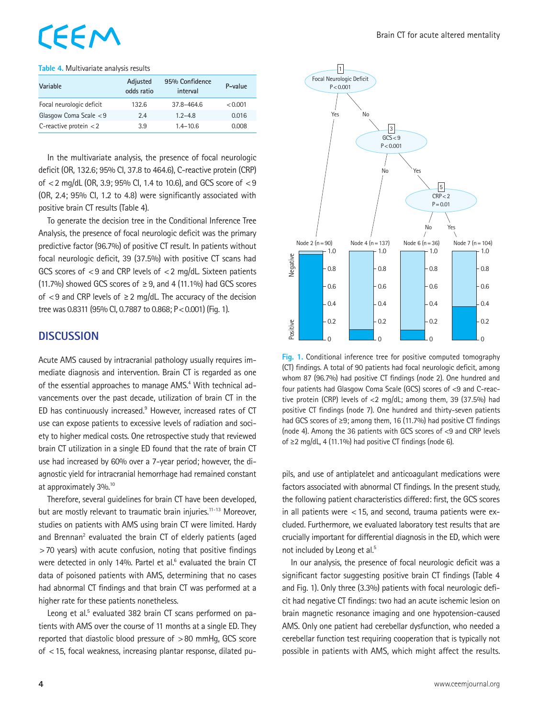### EEM

#### **Table 4.** Multivariate analysis results

| Variable                 | Adjusted<br>odds ratio | 95% Confidence<br>interval | P-value |
|--------------------------|------------------------|----------------------------|---------|
| Focal neurologic deficit | 132.6                  | 37.8-464.6                 | < 0.001 |
| Glasgow Coma Scale $< 9$ | 2.4                    | $1.2 - 4.8$                | 0.016   |
| C-reactive protein $<$ 2 | 3.9                    | $1.4 - 10.6$               | 0.008   |

In the multivariate analysis, the presence of focal neurologic deficit (OR, 132.6; 95% CI, 37.8 to 464.6), C-reactive protein (CRP) of <2 mg/dL (OR, 3.9; 95% CI, 1.4 to 10.6), and GCS score of <9 (OR, 2.4; 95% CI, 1.2 to 4.8) were significantly associated with positive brain CT results (Table 4).

To generate the decision tree in the Conditional Inference Tree Analysis, the presence of focal neurologic deficit was the primary predictive factor (96.7%) of positive CT result. In patients without focal neurologic deficit, 39 (37.5%) with positive CT scans had GCS scores of <9 and CRP levels of <2 mg/dL. Sixteen patients (11.7%) showed GCS scores of  $\geq$  9, and 4 (11.1%) had GCS scores of  $\lt 9$  and CRP levels of  $\ge 2$  mg/dL. The accuracy of the decision tree was 0.8311 (95% CI, 0.7887 to 0.868; P < 0.001) (Fig. 1).

#### **DISCUSSION**

Acute AMS caused by intracranial pathology usually requires immediate diagnosis and intervention. Brain CT is regarded as one of the essential approaches to manage AMS.<sup>4</sup> With technical advancements over the past decade, utilization of brain CT in the ED has continuously increased.<sup>9</sup> However, increased rates of CT use can expose patients to excessive levels of radiation and society to higher medical costs. One retrospective study that reviewed brain CT utilization in a single ED found that the rate of brain CT use had increased by 60% over a 7-year period; however, the diagnostic yield for intracranial hemorrhage had remained constant at approximately 3%.10

Therefore, several guidelines for brain CT have been developed, but are mostly relevant to traumatic brain injuries.<sup>11-13</sup> Moreover, studies on patients with AMS using brain CT were limited. Hardy and Brennan<sup>2</sup> evaluated the brain CT of elderly patients (aged >70 years) with acute confusion, noting that positive findings were detected in only 14%. Partel et al.<sup>6</sup> evaluated the brain CT data of poisoned patients with AMS, determining that no cases had abnormal CT findings and that brain CT was performed at a higher rate for these patients nonetheless.

Leong et al.<sup>5</sup> evaluated 382 brain CT scans performed on patients with AMS over the course of 11 months at a single ED. They reported that diastolic blood pressure of >80 mmHg, GCS score of <15, focal weakness, increasing plantar response, dilated pu-



**Fig. 1.** Conditional inference tree for positive computed tomography (CT) findings. A total of 90 patients had focal neurologic deficit, among whom 87 (96.7%) had positive CT findings (node 2). One hundred and four patients had Glasgow Coma Scale (GCS) scores of <9 and C-reactive protein (CRP) levels of <2 mg/dL; among them, 39 (37.5%) had positive CT findings (node 7). One hundred and thirty-seven patients had GCS scores of ≥9; among them, 16 (11.7%) had positive CT findings (node 4). Among the 36 patients with GCS scores of <9 and CRP levels of ≥2 mg/dL, 4 (11.1%) had positive CT findings (node 6).

pils, and use of antiplatelet and anticoagulant medications were factors associated with abnormal CT findings. In the present study, the following patient characteristics differed: first, the GCS scores in all patients were <15, and second, trauma patients were excluded. Furthermore, we evaluated laboratory test results that are crucially important for differential diagnosis in the ED, which were not included by Leong et al.<sup>5</sup>

In our analysis, the presence of focal neurologic deficit was a significant factor suggesting positive brain CT findings (Table 4 and Fig. 1). Only three (3.3%) patients with focal neurologic deficit had negative CT findings: two had an acute ischemic lesion on brain magnetic resonance imaging and one hypotension-caused AMS. Only one patient had cerebellar dysfunction, who needed a cerebellar function test requiring cooperation that is typically not possible in patients with AMS, which might affect the results.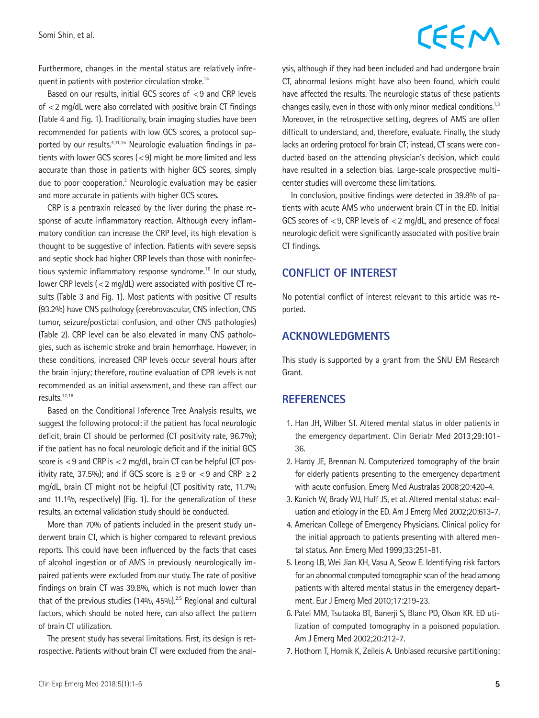### CEEM

Furthermore, changes in the mental status are relatively infrequent in patients with posterior circulation stroke.<sup>14</sup>

Based on our results, initial GCS scores of <9 and CRP levels of <2 mg/dL were also correlated with positive brain CT findings (Table 4 and Fig. 1). Traditionally, brain imaging studies have been recommended for patients with low GCS scores, a protocol supported by our results. $4,11,15$  Neurologic evaluation findings in patients with lower GCS scores  $(< 9)$  might be more limited and less accurate than those in patients with higher GCS scores, simply due to poor cooperation.<sup>3</sup> Neurologic evaluation may be easier and more accurate in patients with higher GCS scores.

CRP is a pentraxin released by the liver during the phase response of acute inflammatory reaction. Although every inflammatory condition can increase the CRP level, its high elevation is thought to be suggestive of infection. Patients with severe sepsis and septic shock had higher CRP levels than those with noninfectious systemic inflammatory response syndrome.16 In our study, lower CRP levels (<2 mg/dL) were associated with positive CT results (Table 3 and Fig. 1). Most patients with positive CT results (93.2%) have CNS pathology (cerebrovascular, CNS infection, CNS tumor, seizure/postictal confusion, and other CNS pathologies) (Table 2). CRP level can be also elevated in many CNS pathologies, such as ischemic stroke and brain hemorrhage. However, in these conditions, increased CRP levels occur several hours after the brain injury; therefore, routine evaluation of CPR levels is not recommended as an initial assessment, and these can affect our results.17,18

Based on the Conditional Inference Tree Analysis results, we suggest the following protocol: if the patient has focal neurologic deficit, brain CT should be performed (CT positivity rate, 96.7%); if the patient has no focal neurologic deficit and if the initial GCS score is  $<$  9 and CRP is  $<$  2 mg/dL, brain CT can be helpful (CT positivity rate, 37.5%); and if GCS score is ≥9 or <9 and CRP ≥2 mg/dL, brain CT might not be helpful (CT positivity rate, 11.7% and 11.1%, respectively) (Fig. 1). For the generalization of these results, an external validation study should be conducted.

More than 70% of patients included in the present study underwent brain CT, which is higher compared to relevant previous reports. This could have been influenced by the facts that cases of alcohol ingestion or of AMS in previously neurologically impaired patients were excluded from our study. The rate of positive findings on brain CT was 39.8%, which is not much lower than that of the previous studies (14%, 45%).<sup>2,5</sup> Regional and cultural factors, which should be noted here, can also affect the pattern of brain CT utilization.

The present study has several limitations. First, its design is retrospective. Patients without brain CT were excluded from the analysis, although if they had been included and had undergone brain CT, abnormal lesions might have also been found, which could have affected the results. The neurologic status of these patients changes easily, even in those with only minor medical conditions.<sup>1,3</sup> Moreover, in the retrospective setting, degrees of AMS are often difficult to understand, and, therefore, evaluate. Finally, the study lacks an ordering protocol for brain CT; instead, CT scans were conducted based on the attending physician's decision, which could have resulted in a selection bias. Large-scale prospective multicenter studies will overcome these limitations.

In conclusion, positive findings were detected in 39.8% of patients with acute AMS who underwent brain CT in the ED. Initial GCS scores of <9, CRP levels of <2 mg/dL, and presence of focal neurologic deficit were significantly associated with positive brain CT findings.

#### **CONFLICT OF INTEREST**

No potential conflict of interest relevant to this article was reported.

#### **ACKNOWLEDGMENTS**

This study is supported by a grant from the SNU EM Research Grant.

#### **REFERENCES**

- 1. Han JH, Wilber ST. Altered mental status in older patients in the emergency department. Clin Geriatr Med 2013;29:101- 36.
- 2. Hardy JE, Brennan N. Computerized tomography of the brain for elderly patients presenting to the emergency department with acute confusion. Emerg Med Australas 2008;20:420-4.
- 3. Kanich W, Brady WJ, Huff JS, et al. Altered mental status: evaluation and etiology in the ED. Am J Emerg Med 2002;20:613-7.
- 4. American College of Emergency Physicians. Clinical policy for the initial approach to patients presenting with altered mental status. Ann Emerg Med 1999;33:251-81.
- 5. Leong LB, Wei Jian KH, Vasu A, Seow E. Identifying risk factors for an abnormal computed tomographic scan of the head among patients with altered mental status in the emergency department. Eur J Emerg Med 2010;17:219-23.
- 6. Patel MM, Tsutaoka BT, Banerji S, Blanc PD, Olson KR. ED utilization of computed tomography in a poisoned population. Am J Emerg Med 2002;20:212-7.
- 7. Hothorn T, Hornik K, Zeileis A. Unbiased recursive partitioning: